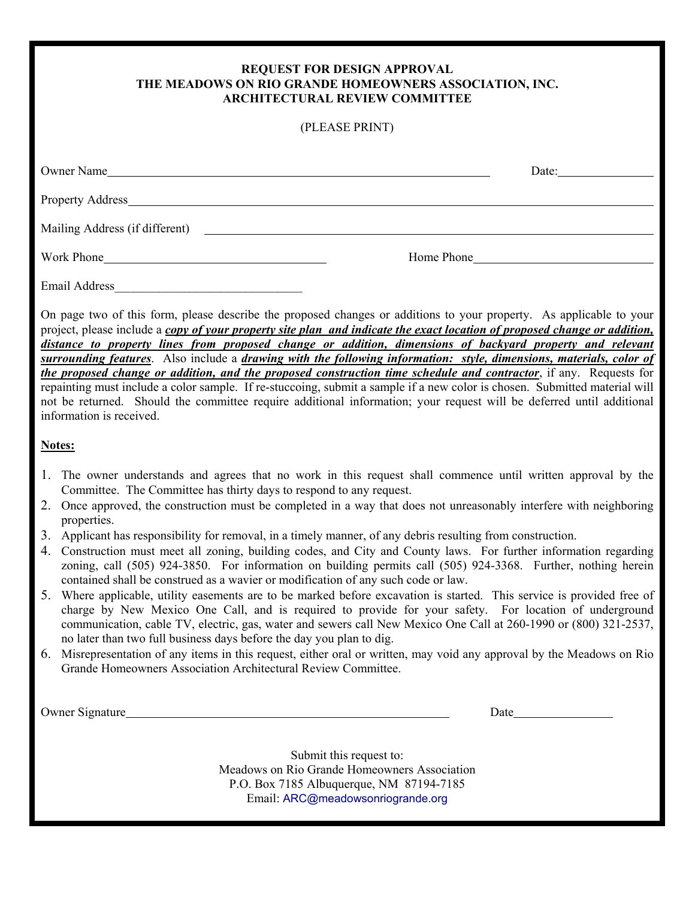## **REQUEST FOR DESIGN APPROVAL THE MEADOWS ON RIO GRANDE HOMEOWNERS ASSOCIATION, INC. ARCHITECTURAL REVIEW COMMITTEE**

| (PLEASE PRINT)                                                                                                                                                                                                                 |  |                                                          |  |  |
|--------------------------------------------------------------------------------------------------------------------------------------------------------------------------------------------------------------------------------|--|----------------------------------------------------------|--|--|
| Owner Name                                                                                                                                                                                                                     |  | Date: $\frac{1}{\sqrt{1-\frac{1}{2}} \cdot \frac{1}{2}}$ |  |  |
|                                                                                                                                                                                                                                |  |                                                          |  |  |
| Mailing Address (if different) Contained the Contract of the Contract of the Contract of the Contract of the Contract of the Contract of the Contract of the Contract of the Contract of the Contract of the Contract of the C |  |                                                          |  |  |
| Work Phone                                                                                                                                                                                                                     |  | Home Phone                                               |  |  |
| Email Address                                                                                                                                                                                                                  |  |                                                          |  |  |

On page two of this form, please describe the proposed changes or additions to your property. As applicable to your project, please include a *copy of your property site plan and indicate the exact location of proposed change or addition, distance to property lines from proposed change or addition, dimensions of backyard property and relevant surrounding features*. Also include a *drawing with the following information: style, dimensions, materials, color of the proposed change or addition, and the proposed construction time schedule and contractor*, if any. Requests for repainting must include a color sample. If re-stuccoing, submit a sample if a new color is chosen. Submitted material will not be returned. Should the committee require additional information; your request will be deferred until additional information is received.

## **Notes:**

- 1. The owner understands and agrees that no work in this request shall commence until written approval by the Committee. The Committee has thirty days to respond to any request.
- 2. Once approved, the construction must be completed in a way that does not unreasonably interfere with neighboring properties.
- 3. Applicant has responsibility for removal, in a timely manner, of any debris resulting from construction.
- 4. Construction must meet all zoning, building codes, and City and County laws. For further information regarding zoning, call (505) 924-3850. For information on building permits call (505) 924-3368. Further, nothing herein contained shall be construed as a wavier or modification of any such code or law.
- 5. Where applicable, utility easements are to be marked before excavation is started. This service is provided free of charge by New Mexico One Call, and is required to provide for your safety. For location of underground communication, cable TV, electric, gas, water and sewers call New Mexico One Call at 260-1990 or (800) 321-2537, no later than two full business days before the day you plan to dig.
- 6. Misrepresentation of any items in this request, either oral or written, may void any approval by the Meadows on Rio Grande Homeowners Association Architectural Review Committee.

Owner Signature Date Date of the United States of the Date Date Date Date Date

Submit this request to: Meadows on Rio Grande Homeowners Association P.O. Box 7185 Albuquerque, NM 87194-7185 Email: ARC@meadowsonriogrande.org